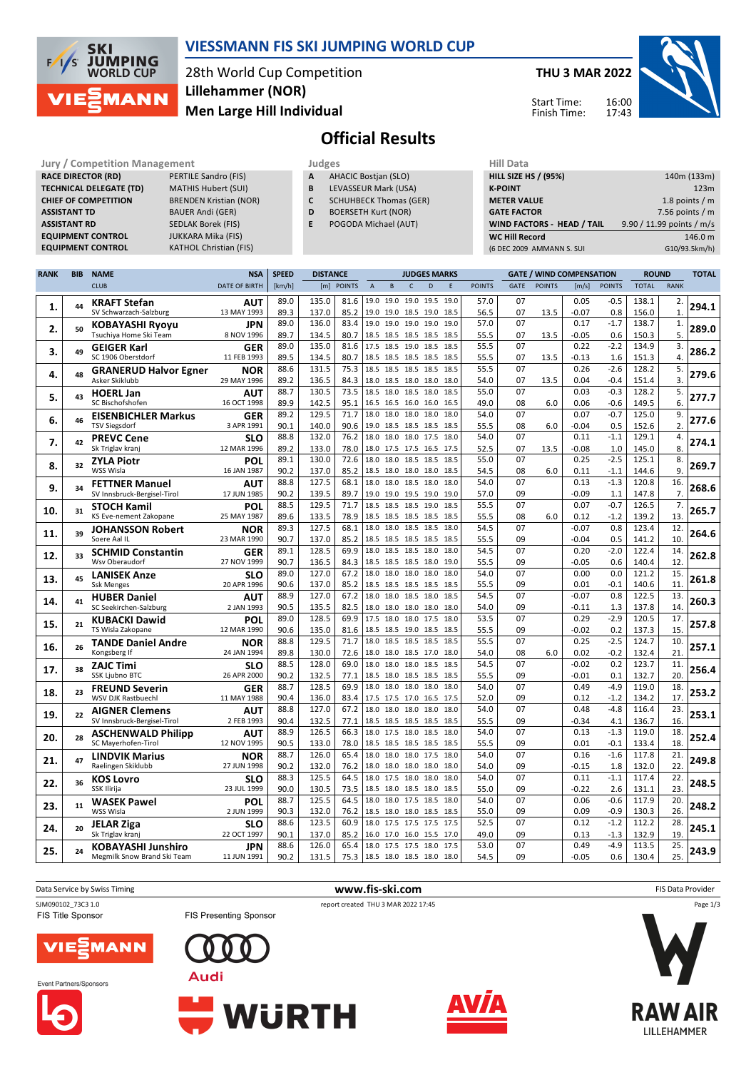

## **VIESSMANN FIS SKI JUMPING WORLD CUP**

28th World Cup Competition **Men Large Hill Individual Lillehammer (NOR)**

**THU 3 MAR 2022**

Start Time: Finish Time: 16:00 17:43



LILLEHAMMER

# **Official Results**

**Jury / Competition Management Judges Judges Hill Data**<br> **RACE DIRECTOR (RD)** PERTILE Sandro (FIS) **A** AHACIC Bostjan (SLO) **HILL SIZE HILL SIZE F RACE DIRECTOR (RD) TECHNICAL DELEGATE (TD)** MATHIS Hubert (SUI) **CHIEF OF COMPETITION** BRENDEN Kristian (NOR) **ASSISTANT TD** BAUER Andi (GER) **ASSISTANT RD** SEDLAK Borek (FIS)<br>**EQUIPMENT CONTROL** JUKKARA Mika (FIS) **EQUIPMENT CONTROL**<br>**EQUIPMENT CONTROL KATHOL Christian (FIS)** 

- **A** AHACIC Bostjan (SLO)
- **B** LEVASSEUR Mark (USA)
- **C** SCHUHBECK Thomas (GER)
- **D** BOERSETH Kurt (NOR)
- **E** POGODA Michael (AUT)

| niil Data                   |                           |
|-----------------------------|---------------------------|
| <b>HILL SIZE HS / (95%)</b> | 140m (133m)               |
| <b>K-POINT</b>              | 123m                      |
| <b>METER VALUE</b>          | 1.8 points $/m$           |
| <b>GATE FACTOR</b>          | 7.56 points $/m$          |
| WIND FACTORS - HEAD / TAIL  | 9.90 / 11.99 points / m/s |
| <b>WC Hill Record</b>       | 146.0 m                   |
| (6 DEC 2009 AMMANN S. SUI   | G10/93.5km/h)             |
|                             |                           |

| <b>RANK</b> | <b>BIB</b> | <b>NAME</b>                                          | <b>NSA</b>                | <b>SPEED</b> | <b>DISTANCE</b> |              |                     | <b>JUDGES MARKS</b>                        |              |      | <b>GATE / WIND COMPENSATION</b> |               |                       |               | <b>ROUND</b>       |                  | <b>TOTAL</b>   |                          |       |
|-------------|------------|------------------------------------------------------|---------------------------|--------------|-----------------|--------------|---------------------|--------------------------------------------|--------------|------|---------------------------------|---------------|-----------------------|---------------|--------------------|------------------|----------------|--------------------------|-------|
|             |            | <b>CLUB</b>                                          | <b>DATE OF BIRTH</b>      | [km/h]       |                 | [m] POINTS   | $\overline{A}$      | B                                          | $\mathsf{C}$ | D    | E                               | <b>POINTS</b> | <b>GATE</b>           | <b>POINTS</b> | [m/s]              | <b>POINTS</b>    | <b>TOTAL</b>   | <b>RANK</b>              |       |
| 1.          | 44         | <b>KRAFT Stefan</b><br>SV Schwarzach-Salzburg        | AUT<br>13 MAY 1993        | 89.0<br>89.3 | 135.0<br>137.0  | 81.6<br>85.2 | 19.0                | 19.0 19.0 19.5<br>19.0 19.0 18.5 19.0 18.5 |              |      | 19.0                            | 57.0<br>56.5  | 07<br>07              | 13.5          | 0.05<br>-0.07      | $-0.5$<br>0.8    | 138.1<br>156.0 | 2.<br>$\mathbf{1}$ .     | 294.1 |
| 2.          | 50         | <b>KOBAYASHI Ryoyu</b>                               | JPN                       | 89.0         | 136.0           | 83.4         | 19.0                | 19.0                                       | 19.0 19.0    |      | 19.0                            | 57.0          | 07                    |               | 0.17               | $-1.7$           | 138.7          | 1.<br>5.                 | 289.0 |
|             |            | Tsuchiya Home Ski Team                               | 8 NOV 1996                | 89.7<br>89.0 | 134.5<br>135.0  | 80.7<br>81.6 |                     | 18.5 18.5 18.5 18.5<br>17.5 18.5 19.0 18.5 |              |      | 18.5<br>18.5                    | 55.5<br>55.5  | 07<br>07              | 13.5          | $-0.05$<br>0.22    | 0.6<br>$-2.2$    | 150.3<br>134.9 | 3.                       |       |
| 3.          | 49         | <b>GEIGER Karl</b><br>SC 1906 Oberstdorf             | <b>GER</b><br>11 FEB 1993 | 89.5         | 134.5           | 80.7         |                     | 18.5 18.5 18.5 18.5                        |              |      | 18.5                            | 55.5          | 07                    | 13.5          | $-0.13$            | 1.6              | 151.3          | 4.                       | 286.2 |
|             |            |                                                      | <b>NOR</b>                | 88.6         | 131.5           | 75.3         | 18.5                | 18.5 18.5 18.5                             |              |      | 18.5                            | 55.5          | 07                    |               | 0.26               | $-2.6$           | 128.2          | 5.                       |       |
| 4.          | 48         | <b>GRANERUD Halvor Egner</b><br>Asker Skiklubb       | 29 MAY 1996               | 89.2         | 136.5           | 84.3         | 18.0                | 18.5 18.0 18.0                             |              |      | 18.0                            | 54.0          | 07                    | 13.5          | 0.04               | $-0.4$           | 151.4          | 3.                       | 279.6 |
|             |            | <b>HOERL Jan</b>                                     | AUT                       | 88.7         | 130.5           | 73.5         | 18.5                | 18.0 18.5 18.0                             |              |      | 18.5                            | 55.0          | 07                    |               | 0.03               | $-0.3$           | 128.2          | 5.                       |       |
| 5.          | 43         | SC Bischofshofen                                     | 16 OCT 1998               | 89.9         | 142.5           | 95.1         |                     | 16.5 16.5 16.0 16.0                        |              |      | 16.5                            | 49.0          | 08                    | 6.0           | 0.06               | $-0.6$           | 149.5          | 6.                       | 277.7 |
|             | 46         | <b>EISENBICHLER Markus</b>                           | GER                       | 89.2         | 129.5           | 71.7         | 18.0                | 18.0                                       | 18.0 18.0    |      | 18.0                            | 54.0          | 07                    |               | 0.07               | $-0.7$           | 125.0          | 9.                       | 277.6 |
| 6.          |            | <b>TSV Siegsdorf</b>                                 | 3 APR 1991                | 90.1         | 140.0           | 90.6         |                     | 19.0 18.5 18.5 18.5                        |              |      | 18.5                            | 55.5          | 08                    | 6.0           | $-0.04$            | 0.5              | 152.6          | $\overline{2}$ .         |       |
| 7.          | 42         | <b>PREVC Cene</b>                                    | <b>SLO</b>                | 88.8         | 132.0           | 76.2         | 18.0                | 18.0 18.0 17.5                             |              |      | 18.0                            | 54.0          | 07                    |               | 0.11               | $-1.1$           | 129.1          | 4.                       | 274.1 |
|             |            | Sk Triglav kranj                                     | 12 MAR 1996               | 89.2         | 133.0           | 78.0         |                     | 18.0 17.5 17.5 16.5                        |              |      | 17.5                            | 52.5          | 07                    | 13.5          | $-0.08$            | 1.0              | 145.0          | 8.                       |       |
| 8.          | 32         | <b>ZYLA Piotr</b>                                    | POL                       | 89.1         | 130.0           | 72.6         | 18.0                | 18.0 18.5 18.5                             |              |      | 18.5                            | 55.0          | 07                    |               | 0.25               | $-2.5$           | 125.1          | 8.                       | 269.7 |
|             |            | WSS Wisla                                            | 16 JAN 1987               | 90.2<br>88.8 | 137.0<br>127.5  | 85.2<br>68.1 | 18.0                | 18.5 18.0 18.0 18.0                        |              |      | 18.5                            | 54.5<br>54.0  | 08<br>07              | 6.0           | 0.11<br>0.13       | $-1.1$<br>$-1.3$ | 144.6<br>120.8 | 9.<br>16.                |       |
| 9.          | 34         | <b>FETTNER Manuel</b><br>SV Innsbruck-Bergisel-Tirol | AUT<br>17 JUN 1985        | 90.2         | 139.5           | 89.7         |                     | 18.0 18.5 18.0<br>19.0 19.0 19.5 19.0      |              |      | 18.0<br>19.0                    | 57.0          | 09                    |               | -0.09              | 1.1              | 147.8          | 7.                       | 268.6 |
|             |            | <b>STOCH Kamil</b>                                   | POL                       | 88.5         | 129.5           | 71.7         |                     | 18.5 18.5 18.5 19.0                        |              |      | 18.5                            | 55.5          | 07                    |               | 0.07               | $-0.7$           | 126.5          | 7.                       |       |
| 10.         | 31         | KS Eve-nement Zakopane                               | 25 MAY 1987               | 89.6         | 133.5           | 78.9         |                     | 18.5 18.5 18.5 18.5                        |              |      | 18.5                            | 55.5          | 08                    | 6.0           | 0.12               | $-1.2$           | 139.2          | 13.                      | 265.7 |
|             |            | <b>JOHANSSON Robert</b>                              | <b>NOR</b>                | 89.3         | 127.5           | 68.1         |                     | 18.0 18.0 18.5 18.5                        |              |      | 18.0                            | 54.5          | 07                    |               | $-0.07$            | 0.8              | 123.4          | 12.                      |       |
| 11.         | 39         | Soere Aal IL                                         | 23 MAR 1990               | 90.7         | 137.0           | 85.2         |                     | 18.5 18.5 18.5 18.5                        |              |      | 18.5                            | 55.5          | 09                    |               | $-0.04$            | 0.5              | 141.2          | 10.                      | 264.6 |
| 12.         | 33         | <b>SCHMID Constantin</b>                             | <b>GER</b>                | 89.1         | 128.5           | 69.9         | 18.0                | 18.5 18.5 18.0                             |              |      | 18.0                            | 54.5          | 07                    |               | 0.20               | $-2.0$           | 122.4          | 14.                      | 262.8 |
|             |            | Wsv Oberaudorf                                       | 27 NOV 1999               | 90.7         | 136.5           | 84.3         |                     | 18.5 18.5 18.5 18.0                        |              |      | 19.0                            | 55.5          | 09                    |               | $-0.05$            | 0.6              | 140.4          | 12.                      |       |
| 13.         | 45         | <b>LANISEK Anze</b>                                  | <b>SLO</b>                | 89.0         | 127.0           | 67.2         | 18.0                | 18.0                                       | 18.0         | 18.0 | 18.0                            | 54.0          | 07                    |               | 0.00               | 0.0              | 121.2          | 15.                      | 261.8 |
|             |            | <b>Ssk Menges</b>                                    | 20 APR 1996               | 90.6<br>88.9 | 137.0           | 85.2         |                     | 18.5 18.5 18.5 18.5                        |              |      | 18.5                            | 55.5<br>54.5  | 09<br>07              |               | 0.01               | $-0.1$           | 140.6          | 11.                      |       |
| 14.         | 41         | <b>HUBER Daniel</b><br>SC Seekirchen-Salzburg        | AUT<br>2 JAN 1993         | 90.5         | 127.0<br>135.5  | 67.2<br>82.5 |                     | 18.0 18.0 18.5 18.0<br>18.0 18.0 18.0 18.0 |              |      | 18.5<br>18.0                    | 54.0          | 09                    |               | $-0.07$<br>$-0.11$ | 0.8<br>1.3       | 122.5<br>137.8 | 13.<br>14                | 260.3 |
|             |            | <b>KUBACKI Dawid</b>                                 | POL                       | 89.0         | 128.5           | 69.9         |                     | 17.5 18.0 18.0 17.5                        |              |      | 18.0                            | 53.5          | 07                    |               | 0.29               | $-2.9$           | 120.5          | 17.                      |       |
| 15.         | 21         | TS Wisla Zakopane                                    | 12 MAR 1990               | 90.6         | 135.0           | 81.6         |                     | 18.5 18.5 19.0 18.5                        |              |      | 18.5                            | 55.5          | 09                    |               | $-0.02$            | 0.2              | 137.3          | 15.                      | 257.8 |
|             |            | <b>TANDE Daniel Andre</b>                            | <b>NOR</b>                | 88.8         | 129.5           | 71.7         | 18.0                | 18.5 18.5 18.5                             |              |      | 18.5                            | 55.5          | 07                    |               | 0.25               | $-2.5$           | 124.7          | 10.                      |       |
| 16.         | 26         | Kongsberg If                                         | 24 JAN 1994               | 89.8         | 130.0           | 72.6         |                     | 18.0 18.0 18.5 17.0 18.0                   |              |      |                                 | 54.0          | 08                    | 6.0           | 0.02               | $-0.2$           | 132.4          | 21                       | 257.1 |
| 17.         | 38         | <b>ZAJC Timi</b>                                     | <b>SLO</b>                | 88.5         | 128.0           | 69.0         | 18.0                | 18.0                                       | 18.0 18.5    |      | 18.5                            | 54.5          | 07                    |               | $-0.02$            | 0.2              | 123.7          | 11.                      | 256.4 |
|             |            | <b>SSK Ljubno BTC</b>                                | 26 APR 2000               | 90.2         | 132.5           | 77.1         |                     | 18.5 18.0 18.5 18.5 18.5                   |              |      |                                 | 55.5          | 09                    |               | -0.01              | 0.1              | 132.7          | 20.                      |       |
| 18.         | 23         | <b>FREUND Severin</b>                                | GER                       | 88.7         | 128.5           | 69.9         |                     | 18.0 18.0 18.0 18.0 18.0                   |              |      |                                 | 54.0          | 07                    |               | 0.49               | $-4.9$           | 119.0          | 18.                      | 253.2 |
|             |            | WSV DJK Rastbuechl                                   | 11 MAY 1988               | 90.4<br>88.8 | 136.0<br>127.0  | 83.4<br>67.2 |                     | 17.5 17.5 17.0 16.5                        |              |      | 17.5                            | 52.0<br>54.0  | 09<br>$\overline{07}$ |               | 0.12<br>0.48       | $-1.2$<br>$-4.8$ | 134.2<br>116.4 | 17.<br>$\overline{23}$ . |       |
| 19.         | 22         | <b>AIGNER Clemens</b><br>SV Innsbruck-Bergisel-Tirol | <b>AUT</b><br>2 FEB 1993  | 90.4         | 132.5           | 77.1         |                     | 18.0 18.0 18.0 18.0<br>18.5 18.5 18.5 18.5 |              |      | 18.0<br>18.5                    | 55.5          | 09                    |               | $-0.34$            | 4.1              | 136.7          | 16.                      | 253.1 |
|             |            | <b>ASCHENWALD Philipp</b>                            | <b>AUT</b>                | 88.9         | 126.5           | 66.3         |                     | 18.0 17.5 18.0 18.5                        |              |      | 18.0                            | 54.0          | 07                    |               | 0.13               | $-1.3$           | 119.0          | 18.                      |       |
| 20.         | 28         | SC Mayerhofen-Tirol                                  | 12 NOV 1995               | 90.5         | 133.0           | 78.0         |                     | 18.5 18.5 18.5 18.5                        |              |      | 18.5                            | 55.5          | 09                    |               | 0.01               | $-0.1$           | 133.4          | 18.                      | 252.4 |
|             |            | <b>LINDVIK Marius</b>                                | <b>NOR</b>                | 88.7         | 126.0           | 65.4         | 18.0                | 18.0                                       | 18.0 17.5    |      | 18.0                            | 54.0          | 07                    |               | 0.16               | $-1.6$           | 117.8          | 21.                      |       |
| 21.         | 47         | Raelingen Skiklubb                                   | 27 JUN 1998               | 90.2         | 132.0           | 76.2         |                     | 18.0 18.0 18.0 18.0                        |              |      | 18.0                            | 54.0          | 09                    |               | $-0.15$            | 1.8              | 132.0          | 22.                      | 249.8 |
| 22.         | 36         | <b>KOS Lovro</b>                                     | <b>SLO</b>                | 88.3         | 125.5           | 64.5         |                     | 18.0 17.5 18.0 18.0                        |              |      | 18.0                            | 54.0          | 07                    |               | 0.11               | $-1.1$           | 117.4          | 22.                      | 248.5 |
|             |            | SSK Ilirija                                          | 23 JUL 1999               | 90.0         | 130.5           | 73.5         |                     | 18.5 18.0 18.5 18.0 18.5                   |              |      |                                 | 55.0          | 09                    |               | $-0.22$            | 2.6              | 131.1          | 23.                      |       |
| 23.         | 11         | <b>WASEK Pawel</b>                                   | POL                       | 88.7         | 125.5           | 64.5         | 18.0                | 18.0 17.5 18.5                             |              |      | 18.0                            | 54.0          | 07                    |               | 0.06               | $-0.6$           | 117.9          | 20.                      | 248.2 |
|             |            | WSS Wisla                                            | 2 JUN 1999                | 90.3         | 132.0           | 76.2         |                     | 18.5 18.0 18.0 18.5 18.5                   |              |      |                                 | 55.0          | 09                    |               | 0.09               | $-0.9$           | 130.3          | 26                       |       |
| 24.         | 20         | <b>JELAR Ziga</b>                                    | <b>SLO</b><br>22 OCT 1997 | 88.6         | 123.5           | 60.9         | 18.0                | 17.5 17.5 17.5<br>16.0 17.0 16.0 15.5      |              |      | 17.5<br>17.0                    | 52.5<br>49.0  | 07<br>09              |               | 0.12               | $-1.2$           | 112.2          | 28.<br>19.               | 245.1 |
|             |            | Sk Triglav kranj<br><b>KOBAYASHI Junshiro</b>        | JPN                       | 90.1<br>88.6 | 137.0<br>126.0  | 85.2<br>65.4 |                     | 18.0 17.5 17.5 18.0                        |              |      | 17.5                            | 53.0          | 07                    |               | 0.13<br>0.49       | $-1.3$<br>$-4.9$ | 132.9<br>113.5 | 25.                      |       |
| 25.         | 24         | Megmilk Snow Brand Ski Team                          | 11 JUN 1991               | 90.2         | 131.5           | 75.3         | 18.5 18.0 18.5 18.0 |                                            |              |      | 18.0                            | 54.5          | 09                    |               | $-0.05$            | 0.6              | 130.4          | 25.                      | 243.9 |
|             |            |                                                      |                           |              |                 |              |                     |                                            |              |      |                                 |               |                       |               |                    |                  |                |                          |       |







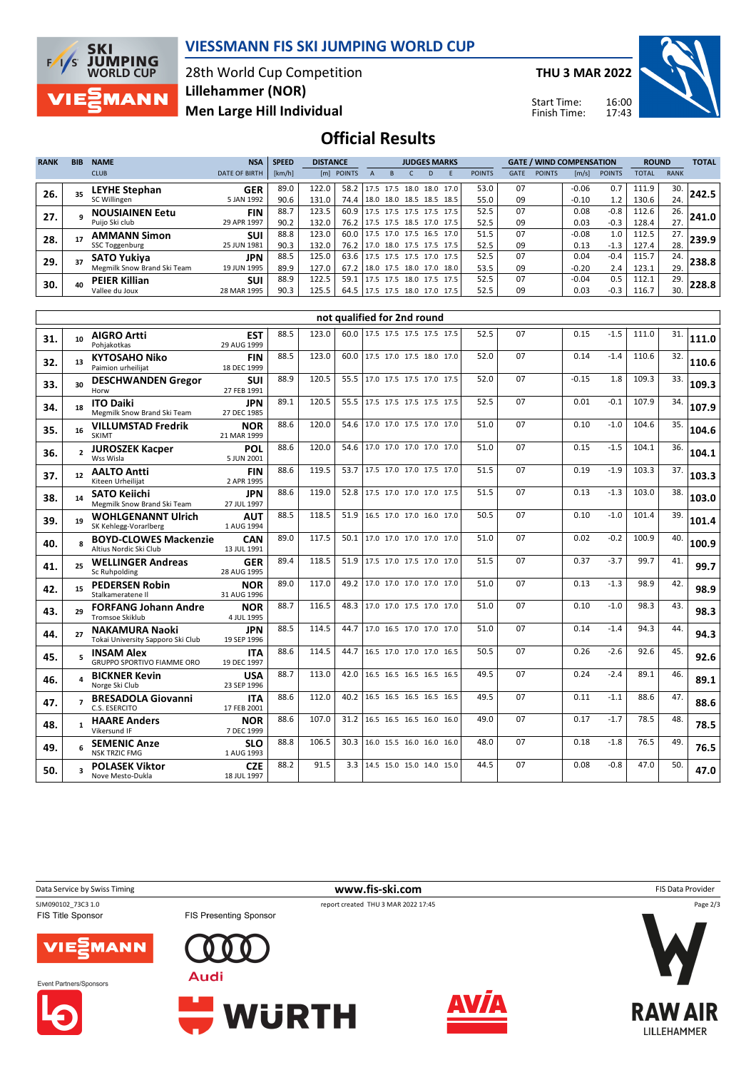

## **VIESSMANN FIS SKI JUMPING WORLD CUP**

28th World Cup Competition **Men Large Hill Individual Lillehammer (NOR)**

**THU 3 MAR 2022**

Start Time: Finish Time:



## **Official Results**

| <b>RANK</b> | <b>BIB</b> | <b>NAME</b>                 | <b>NSA</b>           | <b>SPEED</b> | <b>DISTANCE</b> |            |                          | <b>JUDGES MARKS</b> |                |  |                |               | <b>GATE / WIND COMPENSATION</b> |               |         |               | <b>ROUND</b> |             | <b>TOTAL</b> |
|-------------|------------|-----------------------------|----------------------|--------------|-----------------|------------|--------------------------|---------------------|----------------|--|----------------|---------------|---------------------------------|---------------|---------|---------------|--------------|-------------|--------------|
|             |            | <b>CLUB</b>                 | <b>DATE OF BIRTH</b> | [km/h]       |                 | [m] POINTS |                          |                     |                |  |                | <b>POINTS</b> | <b>GATE</b>                     | <b>POINTS</b> | [m/s]   | <b>POINTS</b> | <b>TOTAL</b> | <b>RANK</b> |              |
| 26.         |            | LEYHE Stephan               | <b>GER</b>           | 89.0         | 122.0           | 58.2       | 17.5 17.5                |                     |                |  | 18.0 18.0 17.0 | 53.0          | 07                              |               | $-0.06$ | 0.7           | 111.9        | 30.         | 242.5        |
|             |            | SC Willingen                | 5 JAN 1992           | 90.6         | 131.0           | 74.4       | 18.0 18.0 18.5 18.5      |                     |                |  | 18.5           | 55.0          | 09                              |               | $-0.10$ | 1.2           | 130.6        | 24.         |              |
| 27.         |            | <b>NOUSIAINEN Eetu</b>      | <b>FIN</b>           | 88.7         | 123.5           | 60.9       | 17.5 17.5 17.5 17.5      |                     |                |  | 17.5           | 52.5          | 07                              |               | 0.08    | $-0.8$        | 112.6        | 26.         | 241.0        |
|             |            | Puijo Ski club              | 29 APR 1997          | 90.2         | 132.0           | 76.2       | 17.5 17.5 18.5 17.0 17.5 |                     |                |  |                | 52.5          | 09                              |               | 0.03    | $-0.3$        | 128.4        | 27.         |              |
| 28.         |            | <b>AMMANN Simon</b>         | <b>SUI</b>           | 88.8         | 123.0           | 60.0       | $17.5$ 17.0 17.5 16.5    |                     |                |  | 17.0           | 51.5          | 07                              |               | $-0.08$ | 1.0           | 112.5        | 27.         | 239.9        |
|             |            | SSC Toggenburg              | 25 JUN 1981          | 90.3         | 132.0           | 76.2       | 17.0                     |                     | 18.0 17.5 17.5 |  | 17.5           | 52.5          | 09                              |               | 0.13    | $-1.3$        | 127.4        | 28.         |              |
| 29.         |            | <b>SATO Yukiva</b>          | <b>JPN</b>           | 88.5         | 125.0           | 63.6       | 17.5 17.5 17.5 17.0 17.5 |                     |                |  |                | 52.5          | 07                              |               | 0.04    | $-0.4$        | 115.7        | 24.         | 238.8        |
|             |            | Megmilk Snow Brand Ski Team | 19 JUN 1995          | 89.9         | 127.0           | 67.2       | 18.0 17.5 18.0 17.0 18.0 |                     |                |  |                | 53.5          | 09                              |               | $-0.20$ | 2.4           | 123.1        | 29.         |              |
| 30.         |            | <b>PEIER Killian</b>        | <b>SUI</b>           | 88.9         | 122.5           | 59.1       | 17.5 17.5 18.0 17.5 17.5 |                     |                |  |                | 52.5          | 07                              |               | $-0.04$ | 0.5           | 112.1        | 29.         | 228.8        |
|             |            | Vallee du Joux              | 28 MAR 1995          | 90.3         | 125.5           | 64.5       | 17.5 17.5 18.0 17.0 17.5 |                     |                |  |                | 52.5          | 09                              |               | 0.03    | $-0.3$        | 116.7        | 30.         |              |

|     | not qualified for 2nd round |                                                            |                           |      |       |      |                          |      |    |         |        |       |     |       |
|-----|-----------------------------|------------------------------------------------------------|---------------------------|------|-------|------|--------------------------|------|----|---------|--------|-------|-----|-------|
| 31. | 10 <sup>1</sup>             | <b>AIGRO Artti</b><br>Pohiakotkas                          | <b>EST</b><br>29 AUG 1999 | 88.5 | 123.0 | 60.0 | 17.5 17.5 17.5 17.5 17.5 | 52.5 | 07 | 0.15    | $-1.5$ | 111.0 | 31. | 111.0 |
| 32. | 13                          | <b>KYTOSAHO Niko</b><br>Paimion urheilijat                 | <b>FIN</b><br>18 DEC 1999 | 88.5 | 123.0 | 60.0 | 17.5 17.0 17.5 18.0 17.0 | 52.0 | 07 | 0.14    | $-1.4$ | 110.6 | 32. | 110.6 |
| 33. | 30                          | <b>DESCHWANDEN Gregor</b><br>Horw                          | <b>SUI</b><br>27 FEB 1991 | 88.9 | 120.5 | 55.5 | 17.0 17.5 17.5 17.0 17.5 | 52.0 | 07 | $-0.15$ | 1.8    | 109.3 | 33. | 109.3 |
| 34. | 18                          | <b>ITO Daiki</b><br>Megmilk Snow Brand Ski Team            | <b>JPN</b><br>27 DEC 1985 | 89.1 | 120.5 | 55.5 | 17.5 17.5 17.5 17.5 17.5 | 52.5 | 07 | 0.01    | $-0.1$ | 107.9 | 34. | 107.9 |
| 35. | 16                          | <b>VILLUMSTAD Fredrik</b><br><b>SKIMT</b>                  | <b>NOR</b><br>21 MAR 1999 | 88.6 | 120.0 | 54.6 | 17.0 17.0 17.5 17.0 17.0 | 51.0 | 07 | 0.10    | $-1.0$ | 104.6 | 35. | 104.6 |
| 36. | $\mathbf{z}$                | <b>JUROSZEK Kacper</b><br>Wss Wisla                        | POL<br>5 JUN 2001         | 88.6 | 120.0 | 54.6 | 17.0 17.0 17.0 17.0 17.0 | 51.0 | 07 | 0.15    | $-1.5$ | 104.1 | 36. | 104.1 |
| 37. | 12                          | <b>AALTO Antti</b><br>Kiteen Urheilijat                    | <b>FIN</b><br>2 APR 1995  | 88.6 | 119.5 | 53.7 | 17.5 17.0 17.0 17.5 17.0 | 51.5 | 07 | 0.19    | $-1.9$ | 103.3 | 37. | 103.3 |
| 38. | 14                          | <b>SATO Keiichi</b><br>Megmilk Snow Brand Ski Team         | JPN<br>27 JUL 1997        | 88.6 | 119.0 | 52.8 | 17.5 17.0 17.0 17.0 17.5 | 51.5 | 07 | 0.13    | $-1.3$ | 103.0 | 38. | 103.0 |
| 39. | 19                          | <b>WOHLGENANNT Ulrich</b><br>SK Kehlegg-Vorarlberg         | <b>AUT</b><br>1 AUG 1994  | 88.5 | 118.5 | 51.9 | 16.5 17.0 17.0 16.0 17.0 | 50.5 | 07 | 0.10    | $-1.0$ | 101.4 | 39. | 101.4 |
| 40. |                             | <b>BOYD-CLOWES Mackenzie</b><br>Altius Nordic Ski Club     | <b>CAN</b><br>13 JUL 1991 | 89.0 | 117.5 | 50.1 | 17.0 17.0 17.0 17.0 17.0 | 51.0 | 07 | 0.02    | $-0.2$ | 100.9 | 40. | 100.9 |
| 41. | 25                          | <b>WELLINGER Andreas</b><br>Sc Ruhpolding                  | <b>GER</b><br>28 AUG 1995 | 89.4 | 118.5 | 51.9 | 17.5 17.0 17.5 17.0 17.0 | 51.5 | 07 | 0.37    | $-3.7$ | 99.7  | 41. | 99.7  |
| 42. | 15                          | <b>PEDERSEN Robin</b><br>Stalkameratene II                 | <b>NOR</b><br>31 AUG 1996 | 89.0 | 117.0 | 49.2 | 17.0 17.0 17.0 17.0 17.0 | 51.0 | 07 | 0.13    | $-1.3$ | 98.9  | 42. | 98.9  |
| 43. | 29                          | <b>FORFANG Johann Andre</b><br>Tromsoe Skiklub             | <b>NOR</b><br>4 JUL 1995  | 88.7 | 116.5 | 48.3 | 17.0 17.0 17.5 17.0 17.0 | 51.0 | 07 | 0.10    | $-1.0$ | 98.3  | 43. | 98.3  |
| 44. | 27                          | <b>NAKAMURA Naoki</b><br>Tokai University Sapporo Ski Club | <b>JPN</b><br>19 SEP 1996 | 88.5 | 114.5 | 44.7 | 17.0 16.5 17.0 17.0 17.0 | 51.0 | 07 | 0.14    | $-1.4$ | 94.3  | 44. | 94.3  |
| 45. |                             | <b>INSAM Alex</b><br><b>GRUPPO SPORTIVO FIAMME ORO</b>     | <b>ITA</b><br>19 DEC 1997 | 88.6 | 114.5 | 44.7 | 16.5 17.0 17.0 17.0 16.5 | 50.5 | 07 | 0.26    | $-2.6$ | 92.6  | 45. | 92.6  |
| 46. |                             | <b>BICKNER Kevin</b><br>Norge Ski Club                     | <b>USA</b><br>23 SEP 1996 | 88.7 | 113.0 | 42.0 | 16.5 16.5 16.5 16.5 16.5 | 49.5 | 07 | 0.24    | $-2.4$ | 89.1  | 46. | 89.1  |
| 47. |                             | <b>BRESADOLA Giovanni</b><br>C.S. ESERCITO                 | <b>ITA</b><br>17 FEB 2001 | 88.6 | 112.0 | 40.2 | 16.5 16.5 16.5 16.5 16.5 | 49.5 | 07 | 0.11    | $-1.1$ | 88.6  | 47. | 88.6  |
| 48. |                             | <b>HAARE Anders</b><br>Vikersund IF                        | <b>NOR</b><br>7 DEC 1999  | 88.6 | 107.0 | 31.2 | 16.5 16.5 16.5 16.0 16.0 | 49.0 | 07 | 0.17    | $-1.7$ | 78.5  | 48. | 78.5  |
| 49. |                             | <b>SEMENIC Anze</b><br><b>NSK TRZIC FMG</b>                | <b>SLO</b><br>1 AUG 1993  | 88.8 | 106.5 | 30.3 | 16.0 15.5 16.0 16.0 16.0 | 48.0 | 07 | 0.18    | $-1.8$ | 76.5  | 49. | 76.5  |
| 50. |                             | <b>POLASEK Viktor</b><br>Nove Mesto-Dukla                  | <b>CZE</b><br>18 JUL 1997 | 88.2 | 91.5  | 3.3  | 14.5 15.0 15.0 14.0 15.0 | 44.5 | 07 | 0.08    | $-0.8$ | 47.0  | 50. | 47.0  |